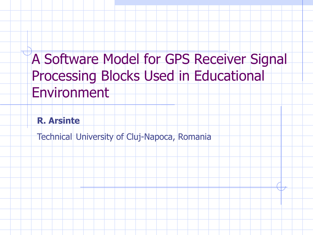#### A Software Model for GPS Receiver Signal Processing Blocks Used in Educational Environment

#### **R. Arsinte**

Technical University of Cluj-Napoca, Romania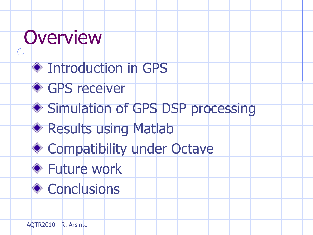#### **Overview**

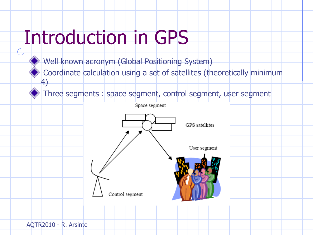# Introduction in GPS

Well known acronym (Global Positioning System)

Coordinate calculation using a set of satellites (theoretically minimum

Three segments : space segment, control segment, user segment



AQTR2010 - R. Arsinte

4)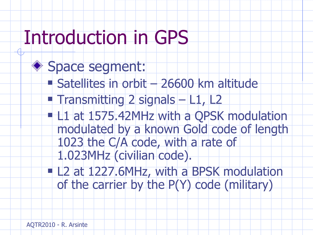## Introduction in GPS

- ◆ Space segment:
	- Satellites in orbit  $-26600$  km altitude
	- **Transmitting 2 signals L1, L2**
	- L1 at 1575.42MHz with a QPSK modulation modulated by a known Gold code of length 1023 the C/A code, with a rate of 1.023MHz (civilian code).
	- **L2 at 1227.6MHz, with a BPSK modulation** of the carrier by the P(Y) code (military)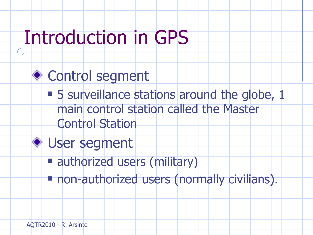### Introduction in GPS

- ◆ Control segment **5** surveillance stations around the globe, 1 main control station called the Master Control Station
- **◆ User segment** 
	- **E** authorized users (military)
	- **non-authorized users (normally civilians).**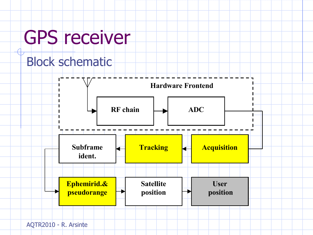### GPS receiver

#### Block schematic



AQTR2010 - R. Arsinte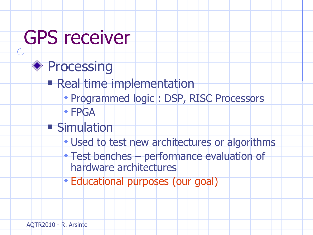#### GPS receiver

- **◆ Processing** 
	- **Real time implementation** 
		- Programmed logic : DSP, RISC Processors **\* FPGA**
	- **Simulation** 
		- Used to test new architectures or algorithms
		- Test benches performance evaluation of hardware architectures
		- Educational purposes (our goal)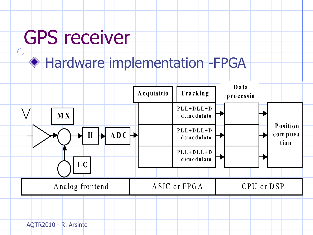### GPS receiver

#### Hardware implementation -FPGA

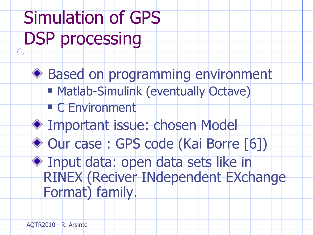# Simulation of GPS DSP processing

◆ Based on programming environment **E** Matlab-Simulink (eventually Octave) **C** Environment Important issue: chosen Model Our case : GPS code (Kai Borre [6]) Input data: open data sets like in RINEX (Reciver INdependent EXchange Format) family.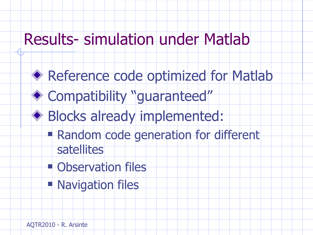#### Results- simulation under Matlab

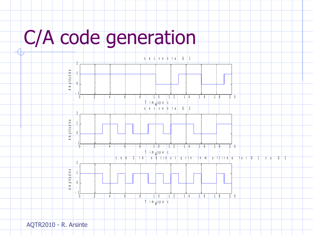# C/A code generation

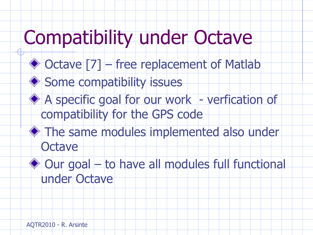# Compatibility under Octave

- ◆ Octave [7] free replacement of Matlab
- ◆ Some compatibility issues
- A specific goal for our work verfication of compatibility for the GPS code
- The same modules implemented also under **Octave**
- Our goal to have all modules full functional under Octave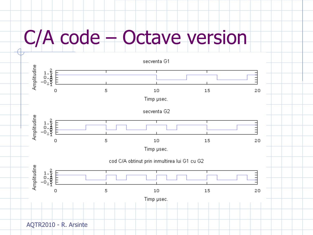# C/A code – Octave version

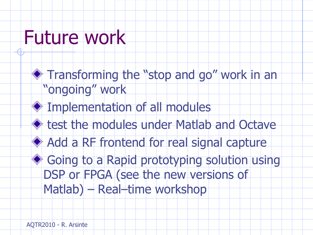#### Future work

**Transforming the "stop and go" work in an** "ongoing" work Implementation of all modules test the modules under Matlab and Octave Add a RF frontend for real signal capture ◆ Going to a Rapid prototyping solution using DSP or FPGA (see the new versions of Matlab) – Real–time workshop